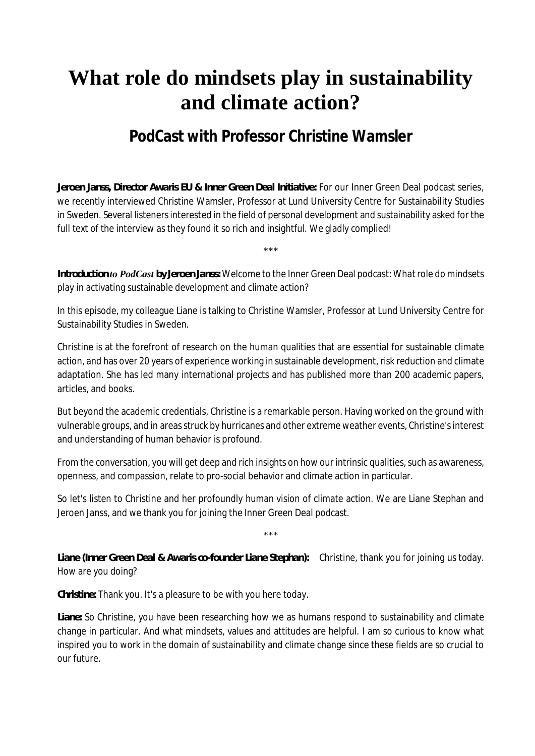## **What role do mindsets play in sustainability and climate action?**

## **PodCast with Professor Christine Wamsler**

*Jeroen Janss, Director Awaris EU & Inner Green Deal Initiative:* For our Inner Green Deal podcast series, we recently interviewed Christine Wamsler, Professor at Lund University Centre for Sustainability Studies in Sweden. Several listeners interested in the field of personal development and sustainability asked for the full text of the interview as they found it so rich and insightful. We gladly complied!

\*\*\*

*Introduction to PodCast by Jeroen Janss:* Welcome to the Inner Green Deal podcast: What role do mindsets play in activating sustainable development and climate action?

In this episode, my colleague Liane is talking to Christine Wamsler, Professor at Lund University Centre for Sustainability Studies in Sweden.

Christine is at the forefront of research on the human qualities that are essential for sustainable climate action, and has over 20 years of experience working in sustainable development, risk reduction and climate adaptation. She has led many international projects and has published more than 200 academic papers, articles, and books.

But beyond the academic credentials, Christine is a remarkable person. Having worked on the ground with vulnerable groups, and in areas struck by hurricanes and other extreme weather events, Christine's interest and understanding of human behavior is profound.

From the conversation, you will get deep and rich insights on how our intrinsic qualities, such as awareness, openness, and compassion, relate to pro-social behavior and climate action in particular.

So let's listen to Christine and her profoundly human vision of climate action. We are Liane Stephan and Jeroen Janss, and we thank you for joining the Inner Green Deal podcast.

\*\*\*

*Liane (Inner Green Deal & Awaris co-founder Liane Stephan):* Christine, thank you for joining us today. How are you doing?

*Christine:* Thank you. It's a pleasure to be with you here today.

*Liane:* So Christine, you have been researching how we as humans respond to sustainability and climate change in particular. And what mindsets, values and attitudes are helpful. I am so curious to know what inspired you to work in the domain of sustainability and climate change since these fields are so crucial to our future.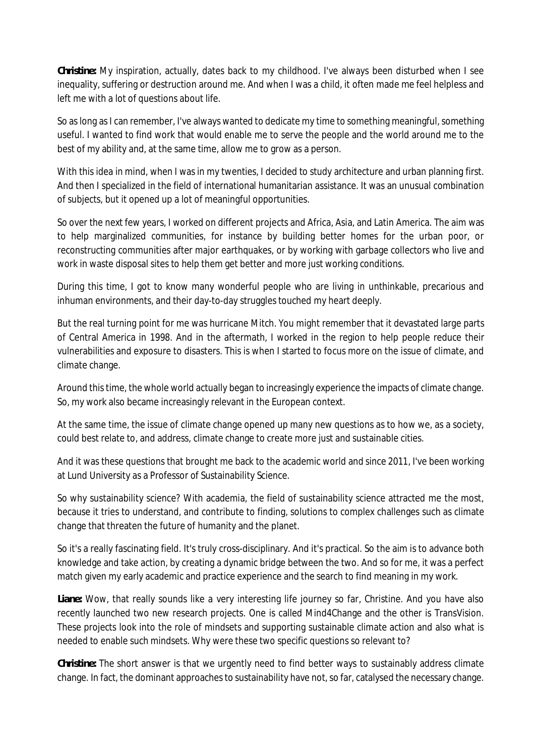*Christine:* My inspiration, actually, dates back to my childhood. I've always been disturbed when I see inequality, suffering or destruction around me. And when I was a child, it often made me feel helpless and left me with a lot of questions about life.

So as long as I can remember, I've always wanted to dedicate my time to something meaningful, something useful. I wanted to find work that would enable me to serve the people and the world around me to the best of my ability and, at the same time, allow me to grow as a person.

With this idea in mind, when I was in my twenties, I decided to study architecture and urban planning first. And then I specialized in the field of international humanitarian assistance. It was an unusual combination of subjects, but it opened up a lot of meaningful opportunities.

So over the next few years, I worked on different projects and Africa, Asia, and Latin America. The aim was to help marginalized communities, for instance by building better homes for the urban poor, or reconstructing communities after major earthquakes, or by working with garbage collectors who live and work in waste disposal sites to help them get better and more just working conditions.

During this time, I got to know many wonderful people who are living in unthinkable, precarious and inhuman environments, and their day-to-day struggles touched my heart deeply.

But the real turning point for me was hurricane Mitch. You might remember that it devastated large parts of Central America in 1998. And in the aftermath, I worked in the region to help people reduce their vulnerabilities and exposure to disasters. This is when I started to focus more on the issue of climate, and climate change.

Around this time, the whole world actually began to increasingly experience the impacts of climate change. So, my work also became increasingly relevant in the European context.

At the same time, the issue of climate change opened up many new questions as to how we, as a society, could best relate to, and address, climate change to create more just and sustainable cities.

And it was these questions that brought me back to the academic world and since 2011, I've been working at Lund University as a Professor of Sustainability Science.

So why sustainability science? With academia, the field of sustainability science attracted me the most, because it tries to understand, and contribute to finding, solutions to complex challenges such as climate change that threaten the future of humanity and the planet.

So it's a really fascinating field. It's truly cross-disciplinary. And it's practical. So the aim is to advance both knowledge and take action, by creating a dynamic bridge between the two. And so for me, it was a perfect match given my early academic and practice experience and the search to find meaning in my work.

*Liane:* Wow, that really sounds like a very interesting life journey so far, Christine. And you have also recently launched two new research projects. One is called Mind4Change and the other is TransVision. These projects look into the role of mindsets and supporting sustainable climate action and also what is needed to enable such mindsets. Why were these two specific questions so relevant to?

*Christine:* The short answer is that we urgently need to find better ways to sustainably address climate change. In fact, the dominant approaches to sustainability have not, so far, catalysed the necessary change.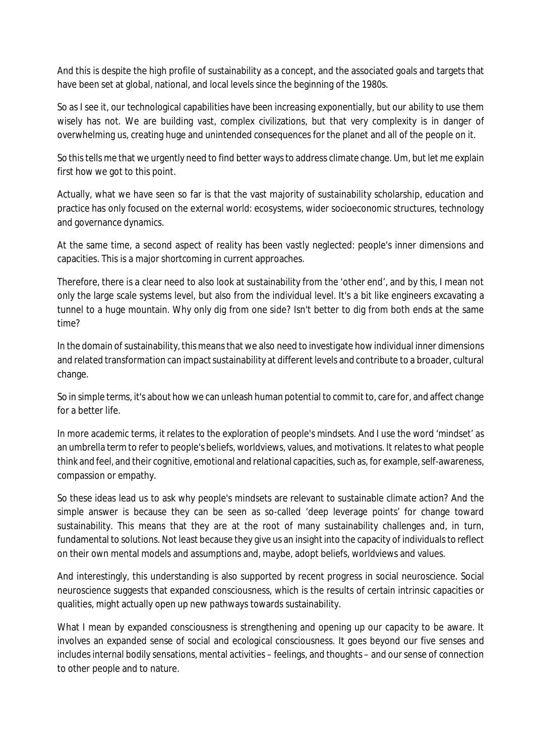And this is despite the high profile of sustainability as a concept, and the associated goals and targets that have been set at global, national, and local levels since the beginning of the 1980s.

So as I see it, our technological capabilities have been increasing exponentially, but our ability to use them wisely has not. We are building vast, complex civilizations, but that very complexity is in danger of overwhelming us, creating huge and unintended consequences for the planet and all of the people on it.

So this tells me that we urgently need to find better ways to address climate change. Um, but let me explain first how we got to this point.

Actually, what we have seen so far is that the vast majority of sustainability scholarship, education and practice has only focused on the external world: ecosystems, wider socioeconomic structures, technology and governance dynamics.

At the same time, a second aspect of reality has been vastly neglected: people's inner dimensions and capacities. This is a major shortcoming in current approaches.

Therefore, there is a clear need to also look at sustainability from the 'other end', and by this, I mean not only the large scale systems level, but also from the individual level. It's a bit like engineers excavating a tunnel to a huge mountain. Why only dig from one side? Isn't better to dig from both ends at the same time?

In the domain of sustainability, this means that we also need to investigate how individual inner dimensions and related transformation can impact sustainability at different levels and contribute to a broader, cultural change.

So in simple terms, it's about how we can unleash human potential to commit to, care for, and affect change for a better life.

In more academic terms, it relates to the exploration of people's mindsets. And I use the word 'mindset' as an umbrella term to refer to people's beliefs, worldviews, values, and motivations. It relates to what people think and feel, and their cognitive, emotional and relational capacities, such as, for example, self-awareness, compassion or empathy.

So these ideas lead us to ask why people's mindsets are relevant to sustainable climate action? And the simple answer is because they can be seen as so-called 'deep leverage points' for change toward sustainability. This means that they are at the root of many sustainability challenges and, in turn, fundamental to solutions. Not least because they give us an insight into the capacity of individuals to reflect on their own mental models and assumptions and, maybe, adopt beliefs, worldviews and values.

And interestingly, this understanding is also supported by recent progress in social neuroscience. Social neuroscience suggests that expanded consciousness, which is the results of certain intrinsic capacities or qualities, might actually open up new pathways towards sustainability.

What I mean by expanded consciousness is strengthening and opening up our capacity to be aware. It involves an expanded sense of social and ecological consciousness. It goes beyond our five senses and includes internal bodily sensations, mental activities – feelings, and thoughts – and our sense of connection to other people and to nature.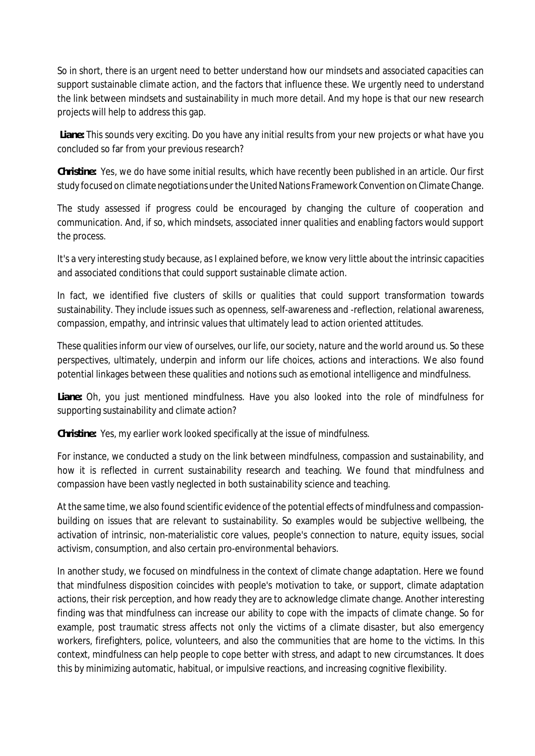So in short, there is an urgent need to better understand how our mindsets and associated capacities can support sustainable climate action, and the factors that influence these. We urgently need to understand the link between mindsets and sustainability in much more detail. And my hope is that our new research projects will help to address this gap.

*Liane:* This sounds very exciting. Do you have any initial results from your new projects or what have you concluded so far from your previous research?

*Christine:* Yes, we do have some initial results, which have recently been published in an article. Our first study focused on climate negotiations under the United Nations Framework Convention on Climate Change.

The study assessed if progress could be encouraged by changing the culture of cooperation and communication. And, if so, which mindsets, associated inner qualities and enabling factors would support the process.

It's a very interesting study because, as I explained before, we know very little about the intrinsic capacities and associated conditions that could support sustainable climate action.

In fact, we identified five clusters of skills or qualities that could support transformation towards sustainability. They include issues such as openness, self-awareness and -reflection, relational awareness, compassion, empathy, and intrinsic values that ultimately lead to action oriented attitudes.

These qualities inform our view of ourselves, our life, our society, nature and the world around us. So these perspectives, ultimately, underpin and inform our life choices, actions and interactions. We also found potential linkages between these qualities and notions such as emotional intelligence and mindfulness.

*Liane:* Oh, you just mentioned mindfulness. Have you also looked into the role of mindfulness for supporting sustainability and climate action?

*Christine:* Yes, my earlier work looked specifically at the issue of mindfulness.

For instance, we conducted a study on the link between mindfulness, compassion and sustainability, and how it is reflected in current sustainability research and teaching. We found that mindfulness and compassion have been vastly neglected in both sustainability science and teaching.

At the same time, we also found scientific evidence of the potential effects of mindfulness and compassionbuilding on issues that are relevant to sustainability. So examples would be subjective wellbeing, the activation of intrinsic, non-materialistic core values, people's connection to nature, equity issues, social activism, consumption, and also certain pro-environmental behaviors.

In another study, we focused on mindfulness in the context of climate change adaptation. Here we found that mindfulness disposition coincides with people's motivation to take, or support, climate adaptation actions, their risk perception, and how ready they are to acknowledge climate change. Another interesting finding was that mindfulness can increase our ability to cope with the impacts of climate change. So for example, post traumatic stress affects not only the victims of a climate disaster, but also emergency workers, firefighters, police, volunteers, and also the communities that are home to the victims. In this context, mindfulness can help people to cope better with stress, and adapt to new circumstances. It does this by minimizing automatic, habitual, or impulsive reactions, and increasing cognitive flexibility.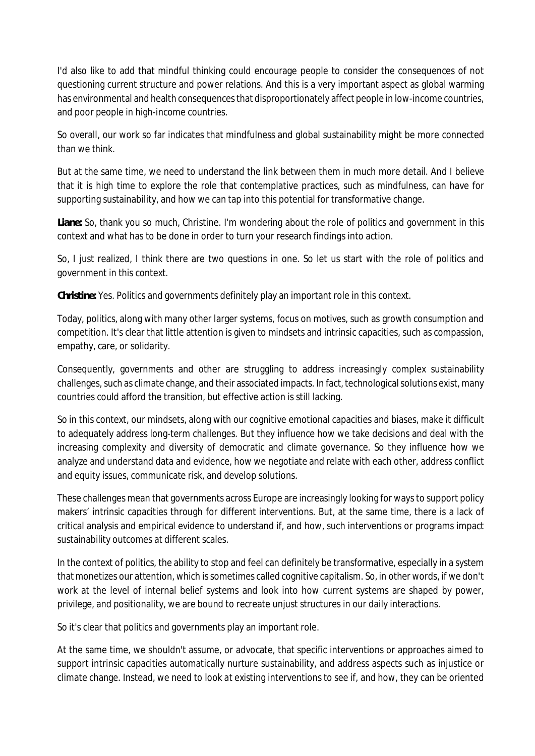I'd also like to add that mindful thinking could encourage people to consider the consequences of not questioning current structure and power relations. And this is a very important aspect as global warming has environmental and health consequences that disproportionately affect people in low-income countries, and poor people in high-income countries.

So overall, our work so far indicates that mindfulness and global sustainability might be more connected than we think.

But at the same time, we need to understand the link between them in much more detail. And I believe that it is high time to explore the role that contemplative practices, such as mindfulness, can have for supporting sustainability, and how we can tap into this potential for transformative change.

*Liane:* So, thank you so much, Christine. I'm wondering about the role of politics and government in this context and what has to be done in order to turn your research findings into action.

So, I just realized, I think there are two questions in one. So let us start with the role of politics and government in this context.

*Christine:* Yes. Politics and governments definitely play an important role in this context.

Today, politics, along with many other larger systems, focus on motives, such as growth consumption and competition. It's clear that little attention is given to mindsets and intrinsic capacities, such as compassion, empathy, care, or solidarity.

Consequently, governments and other are struggling to address increasingly complex sustainability challenges, such as climate change, and their associated impacts. In fact, technological solutions exist, many countries could afford the transition, but effective action is still lacking.

So in this context, our mindsets, along with our cognitive emotional capacities and biases, make it difficult to adequately address long-term challenges. But they influence how we take decisions and deal with the increasing complexity and diversity of democratic and climate governance. So they influence how we analyze and understand data and evidence, how we negotiate and relate with each other, address conflict and equity issues, communicate risk, and develop solutions.

These challenges mean that governments across Europe are increasingly looking for ways to support policy makers' intrinsic capacities through for different interventions. But, at the same time, there is a lack of critical analysis and empirical evidence to understand if, and how, such interventions or programs impact sustainability outcomes at different scales.

In the context of politics, the ability to stop and feel can definitely be transformative, especially in a system that monetizes our attention, which is sometimes called cognitive capitalism. So, in other words, if we don't work at the level of internal belief systems and look into how current systems are shaped by power, privilege, and positionality, we are bound to recreate unjust structures in our daily interactions.

So it's clear that politics and governments play an important role.

At the same time, we shouldn't assume, or advocate, that specific interventions or approaches aimed to support intrinsic capacities automatically nurture sustainability, and address aspects such as injustice or climate change. Instead, we need to look at existing interventions to see if, and how, they can be oriented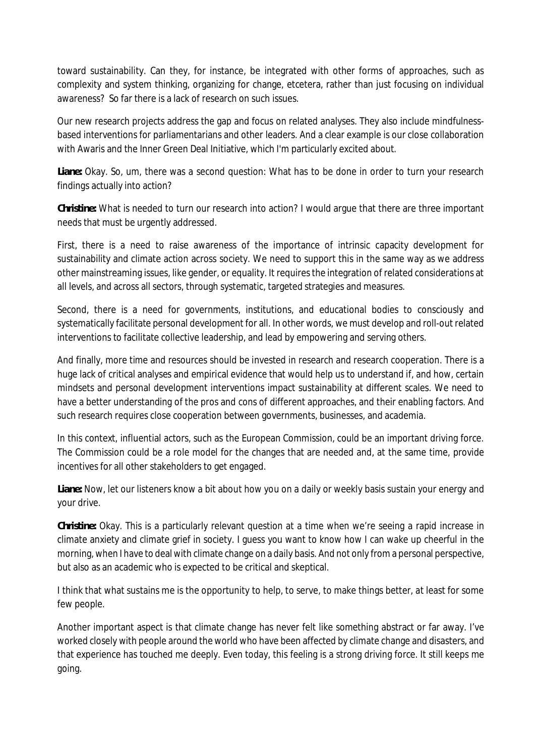toward sustainability. Can they, for instance, be integrated with other forms of approaches, such as complexity and system thinking, organizing for change, etcetera, rather than just focusing on individual awareness? So far there is a lack of research on such issues.

Our new research projects address the gap and focus on related analyses. They also include mindfulnessbased interventions for parliamentarians and other leaders. And a clear example is our close collaboration with Awaris and the Inner Green Deal Initiative, which I'm particularly excited about.

*Liane:* Okay. So, um, there was a second question: What has to be done in order to turn your research findings actually into action?

*Christine:* What is needed to turn our research into action? I would argue that there are three important needs that must be urgently addressed.

First, there is a need to raise awareness of the importance of intrinsic capacity development for sustainability and climate action across society. We need to support this in the same way as we address other mainstreaming issues, like gender, or equality. It requires the integration of related considerations at all levels, and across all sectors, through systematic, targeted strategies and measures.

Second, there is a need for governments, institutions, and educational bodies to consciously and systematically facilitate personal development for all. In other words, we must develop and roll-out related interventions to facilitate collective leadership, and lead by empowering and serving others.

And finally, more time and resources should be invested in research and research cooperation. There is a huge lack of critical analyses and empirical evidence that would help us to understand if, and how, certain mindsets and personal development interventions impact sustainability at different scales. We need to have a better understanding of the pros and cons of different approaches, and their enabling factors. And such research requires close cooperation between governments, businesses, and academia.

In this context, influential actors, such as the European Commission, could be an important driving force. The Commission could be a role model for the changes that are needed and, at the same time, provide incentives for all other stakeholders to get engaged.

*Liane:* Now, let our listeners know a bit about how you on a daily or weekly basis sustain your energy and your drive.

*Christine:* Okay. This is a particularly relevant question at a time when we're seeing a rapid increase in climate anxiety and climate grief in society. I guess you want to know how I can wake up cheerful in the morning, when I have to deal with climate change on a daily basis. And not only from a personal perspective, but also as an academic who is expected to be critical and skeptical.

I think that what sustains me is the opportunity to help, to serve, to make things better, at least for some few people.

Another important aspect is that climate change has never felt like something abstract or far away. I've worked closely with people around the world who have been affected by climate change and disasters, and that experience has touched me deeply. Even today, this feeling is a strong driving force. It still keeps me going.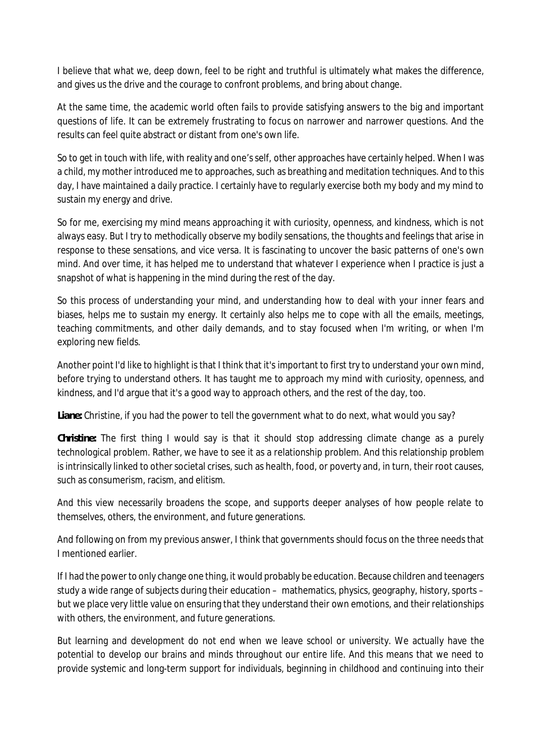I believe that what we, deep down, feel to be right and truthful is ultimately what makes the difference, and gives us the drive and the courage to confront problems, and bring about change.

At the same time, the academic world often fails to provide satisfying answers to the big and important questions of life. It can be extremely frustrating to focus on narrower and narrower questions. And the results can feel quite abstract or distant from one's own life.

So to get in touch with life, with reality and one's self, other approaches have certainly helped. When I was a child, my mother introduced me to approaches, such as breathing and meditation techniques. And to this day, I have maintained a daily practice. I certainly have to regularly exercise both my body and my mind to sustain my energy and drive.

So for me, exercising my mind means approaching it with curiosity, openness, and kindness, which is not always easy. But I try to methodically observe my bodily sensations, the thoughts and feelings that arise in response to these sensations, and vice versa. It is fascinating to uncover the basic patterns of one's own mind. And over time, it has helped me to understand that whatever I experience when I practice is just a snapshot of what is happening in the mind during the rest of the day.

So this process of understanding your mind, and understanding how to deal with your inner fears and biases, helps me to sustain my energy. It certainly also helps me to cope with all the emails, meetings, teaching commitments, and other daily demands, and to stay focused when I'm writing, or when I'm exploring new fields.

Another point I'd like to highlight is that I think that it's important to first try to understand your own mind, before trying to understand others. It has taught me to approach my mind with curiosity, openness, and kindness, and I'd argue that it's a good way to approach others, and the rest of the day, too.

*Liane:* Christine, if you had the power to tell the government what to do next, what would you say?

*Christine:* The first thing I would say is that it should stop addressing climate change as a purely technological problem. Rather, we have to see it as a relationship problem. And this relationship problem is intrinsically linked to other societal crises, such as health, food, or poverty and, in turn, their root causes, such as consumerism, racism, and elitism.

And this view necessarily broadens the scope, and supports deeper analyses of how people relate to themselves, others, the environment, and future generations.

And following on from my previous answer, I think that governments should focus on the three needs that I mentioned earlier.

If I had the power to only change one thing, it would probably be education. Because children and teenagers study a wide range of subjects during their education – mathematics, physics, geography, history, sports – but we place very little value on ensuring that they understand their own emotions, and their relationships with others, the environment, and future generations.

But learning and development do not end when we leave school or university. We actually have the potential to develop our brains and minds throughout our entire life. And this means that we need to provide systemic and long-term support for individuals, beginning in childhood and continuing into their